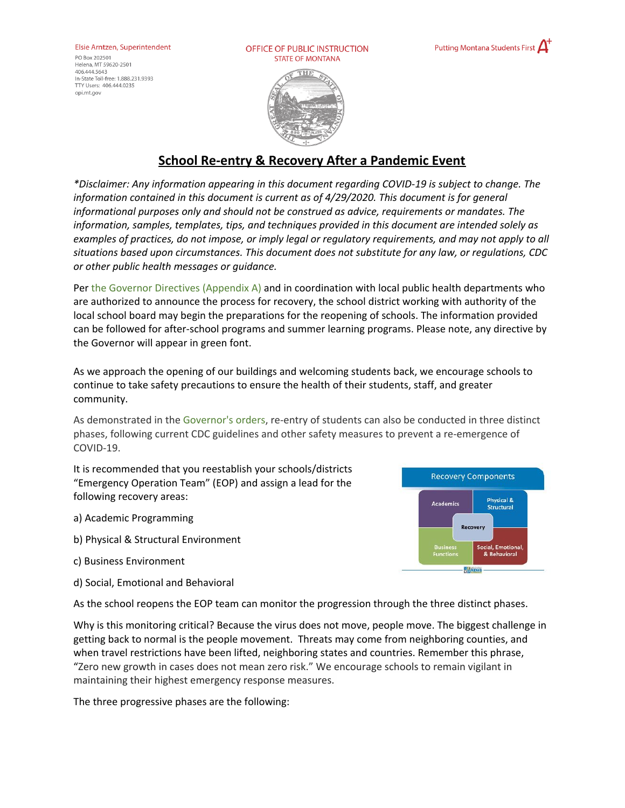#### Elsie Arntzen, Superintendent

PO Box 202501 Helena, MT 59620-2501 406 444 5643 In-State Toll-free: 1.888.231.9393 TTY Users: 406.444.0235 opi.mt.gov

OFFICE OF PUBLIC INSTRUCTION **STATE OF MONTANA** 



**Recovery Components** 

REMS

**Academics** 

Physical &

**Structural** 

Social, Emotiona & Behavioral



# **School Re-entry & Recovery After a Pandemic Event**

*\*Disclaimer: Any information appearing in this document regarding COVID-19 is subject to change. The information contained in this document is current as of 4/29/2020. This document is for general informational purposes only and should not be construed as advice, requirements or mandates. The information, samples, templates, tips, and techniques provided in this document are intended solely as* examples of practices, do not impose, or imply legal or regulatory requirements, and may not apply to all *situations based upon circumstances. This document does not substitute for any law, or regulations, CDC or other public health messages or guidance.*

Per the Governor Directives (Appendix A) and in coordination with local public health departments who are authorized to announce the process for recovery, the school district working with authority of the local school board may begin the preparations for the reopening of schools. The information provided can be followed for after-school programs and summer learning programs. Please note, any directive by the Governor will appear in green font.

As we approach the opening of our buildings and welcoming students back, we encourage schools to continue to take safety precautions to ensure the health of their students, staff, and greater community.

As demonstrated in the Governor's orders, re-entry of students can also be conducted in three distinct phases, following current CDC guidelines and other safety measures to prevent a re-emergence of COVID-19.

It is recommended that you reestablish your schools/districts "Emergency Operation Team" (EOP) and assign a lead for the following recovery areas:

a) Academic Programming

- b) Physical & Structural Environment
- c) Business Environment
- d) Social, Emotional and Behavioral



Why is this monitoring critical? Because the virus does not move, people move. The biggest challenge in getting back to normal is the people movement. Threats may come from neighboring counties, and when travel restrictions have been lifted, neighboring states and countries. Remember this phrase, "Zero new growth in cases does not mean zero risk." We encourage schools to remain vigilant in maintaining their highest emergency response measures.

The three progressive phases are the following: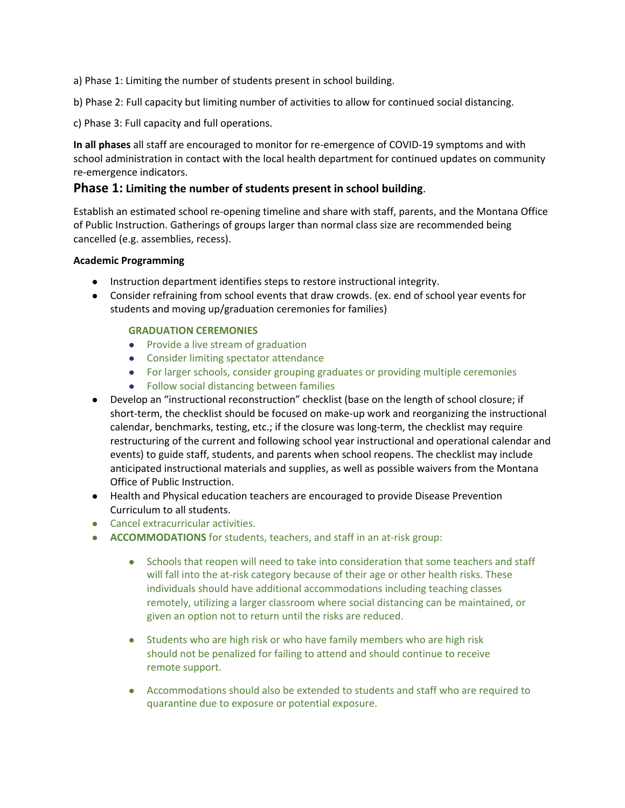a) Phase 1: Limiting the number of students present in school building.

b) Phase 2: Full capacity but limiting number of activities to allow for continued social distancing.

c) Phase 3: Full capacity and full operations.

**In all phases** all staff are encouraged to monitor for re-emergence of COVID-19 symptoms and with school administration in contact with the local health department for continued updates on community re-emergence indicators.

### **Phase 1: Limiting the number of students present in school building**.

Establish an estimated school re-opening timeline and share with staff, parents, and the Montana Office of Public Instruction. Gatherings of groups larger than normal class size are recommended being cancelled (e.g. assemblies, recess).

#### **Academic Programming**

- **●** Instruction department identifies steps to restore instructional integrity.
- Consider refraining from school events that draw crowds. (ex. end of school year events for students and moving up/graduation ceremonies for families)

### **GRADUATION CEREMONIES**

- Provide a live stream of graduation
- Consider limiting spectator attendance
- For larger schools, consider grouping graduates or providing multiple ceremonies
- Follow social distancing between families
- Develop an "instructional reconstruction" checklist (base on the length of school closure; if short-term, the checklist should be focused on make-up work and reorganizing the instructional calendar, benchmarks, testing, etc.; if the closure was long-term, the checklist may require restructuring of the current and following school year instructional and operational calendar and events) to guide staff, students, and parents when school reopens. The checklist may include anticipated instructional materials and supplies, as well as possible waivers from the Montana Office of Public Instruction.
- Health and Physical education teachers are encouraged to provide Disease Prevention Curriculum to all students.
- Cancel extracurricular activities.
- **ACCOMMODATIONS** for students, teachers, and staff in an at-risk group:
	- Schools that reopen will need to take into consideration that some teachers and staff will fall into the at-risk category because of their age or other health risks. These individuals should have additional accommodations including teaching classes remotely, utilizing a larger classroom where social distancing can be maintained, or given an option not to return until the risks are reduced.
	- Students who are high risk or who have family members who are high risk should not be penalized for failing to attend and should continue to receive remote support.
	- Accommodations should also be extended to students and staff who are required to quarantine due to exposure or potential exposure.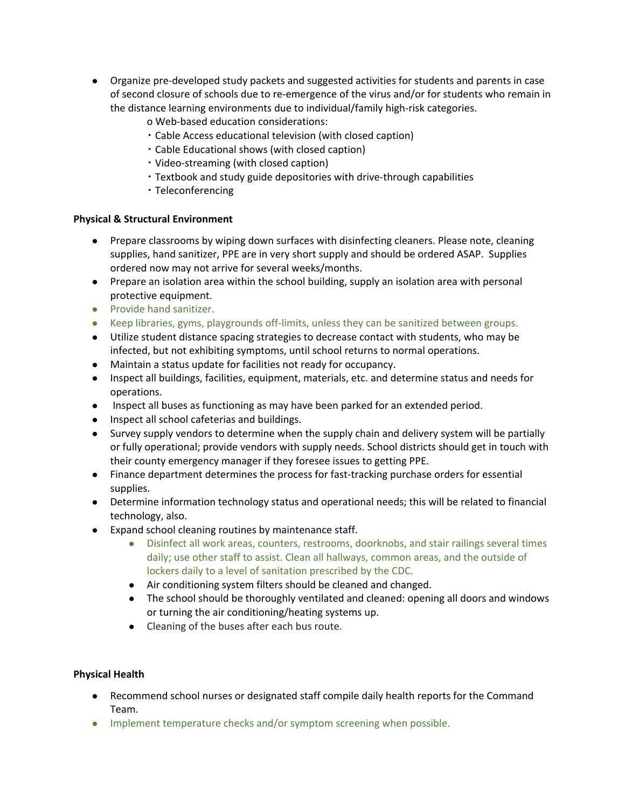- Organize pre-developed study packets and suggested activities for students and parents in case of second closure of schools due to re-emergence of the virus and/or for students who remain in the distance learning environments due to individual/family high-risk categories.
	- o Web-based education considerations:
	- Cable Access educational television (with closed caption)
	- Cable Educational shows (with closed caption)
	- Video-streaming (with closed caption)
	- Textbook and study guide depositories with drive-through capabilities
	- Teleconferencing

### **Physical & Structural Environment**

- Prepare classrooms by wiping down surfaces with disinfecting cleaners. Please note, cleaning supplies, hand sanitizer, PPE are in very short supply and should be ordered ASAP. Supplies ordered now may not arrive for several weeks/months.
- Prepare an isolation area within the school building, supply an isolation area with personal protective equipment.
- Provide hand sanitizer.
- Keep libraries, gyms, playgrounds off-limits, unless they can be sanitized between groups.
- Utilize student distance spacing strategies to decrease contact with students, who may be infected, but not exhibiting symptoms, until school returns to normal operations.
- Maintain a status update for facilities not ready for occupancy.
- Inspect all buildings, facilities, equipment, materials, etc. and determine status and needs for operations.
- Inspect all buses as functioning as may have been parked for an extended period.
- Inspect all school cafeterias and buildings.
- Survey supply vendors to determine when the supply chain and delivery system will be partially or fully operational; provide vendors with supply needs. School districts should get in touch with their county emergency manager if they foresee issues to getting PPE.
- Finance department determines the process for fast-tracking purchase orders for essential supplies.
- Determine information technology status and operational needs; this will be related to financial technology, also.
- Expand school cleaning routines by maintenance staff.
	- Disinfect all work areas, counters, restrooms, doorknobs, and stair railings several times daily; use other staff to assist. Clean all hallways, common areas, and the outside of lockers daily to a level of sanitation prescribed by the CDC.
	- Air conditioning system filters should be cleaned and changed.
	- The school should be thoroughly ventilated and cleaned: opening all doors and windows or turning the air conditioning/heating systems up.
	- Cleaning of the buses after each bus route.

### **Physical Health**

- Recommend school nurses or designated staff compile daily health reports for the Command Team.
- Implement temperature checks and/or symptom screening when possible.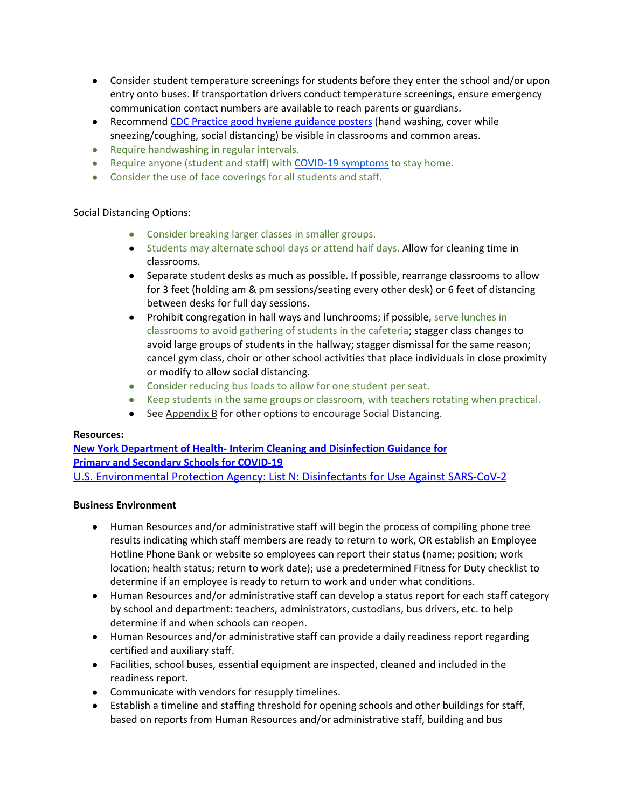- Consider student temperature screenings for students before they enter the school and/or upon entry onto buses. If transportation drivers conduct temperature screenings, ensure emergency communication contact numbers are available to reach parents or guardians.
- Recommend CDC Practice good hygiene [guidance](https://www.como.gov/health/wp-content/uploads/sites/13/2020/03/stop-the-spread-of-germs-791x1024.jpg) posters (hand washing, cover while sneezing/coughing, social distancing) be visible in classrooms and common areas.
- Require handwashing in regular intervals.
- Require anyone (student and staff) with COVID-19 [symptoms](https://www.cdc.gov/coronavirus/2019-ncov/symptoms-testing/symptoms.html) to stay home.
- Consider the use of face coverings for all students and staff.

### Social Distancing Options:

- Consider breaking larger classes in smaller groups.
- Students may alternate school days or attend half days. Allow for cleaning time in classrooms.
- Separate student desks as much as possible. If possible, rearrange classrooms to allow for 3 feet (holding am & pm sessions/seating every other desk) or 6 feet of distancing between desks for full day sessions.
- Prohibit congregation in hall ways and lunchrooms; if possible, serve lunches in classrooms to avoid gathering of students in the cafeteria; stagger class changes to avoid large groups of students in the hallway; stagger dismissal for the same reason; cancel gym class, choir or other school activities that place individuals in close proximity or modify to allow social distancing.
- Consider reducing bus loads to allow for one student per seat.
- Keep students in the same groups or classroom, with teachers rotating when practical.
- See Appendix B for other options to encourage Social Distancing.

#### **Resources:**

### **New York [Department](https://ogs.ny.gov/system/files/documents/2020/03/cleaning_guidance_schools.pdf) of Health- Interim Cleaning and Disinfection Guidance for Primary and [Secondary](https://ogs.ny.gov/system/files/documents/2020/03/cleaning_guidance_schools.pdf) Schools for COVID-19** [U.S. Environmental Protection Agency: List N: Disinfectants for Use Against SARS-CoV-2](https://www.epa.gov/pesticide-registration/list-n-disinfectants-use-against-sars-cov-2)

#### **Business Environment**

- Human Resources and/or administrative staff will begin the process of compiling phone tree results indicating which staff members are ready to return to work, OR establish an Employee Hotline Phone Bank or website so employees can report their status (name; position; work location; health status; return to work date); use a predetermined Fitness for Duty checklist to determine if an employee is ready to return to work and under what conditions.
- Human Resources and/or administrative staff can develop a status report for each staff category by school and department: teachers, administrators, custodians, bus drivers, etc. to help determine if and when schools can reopen.
- Human Resources and/or administrative staff can provide a daily readiness report regarding certified and auxiliary staff.
- Facilities, school buses, essential equipment are inspected, cleaned and included in the readiness report.
- Communicate with vendors for resupply timelines.
- Establish a timeline and staffing threshold for opening schools and other buildings for staff, based on reports from Human Resources and/or administrative staff, building and bus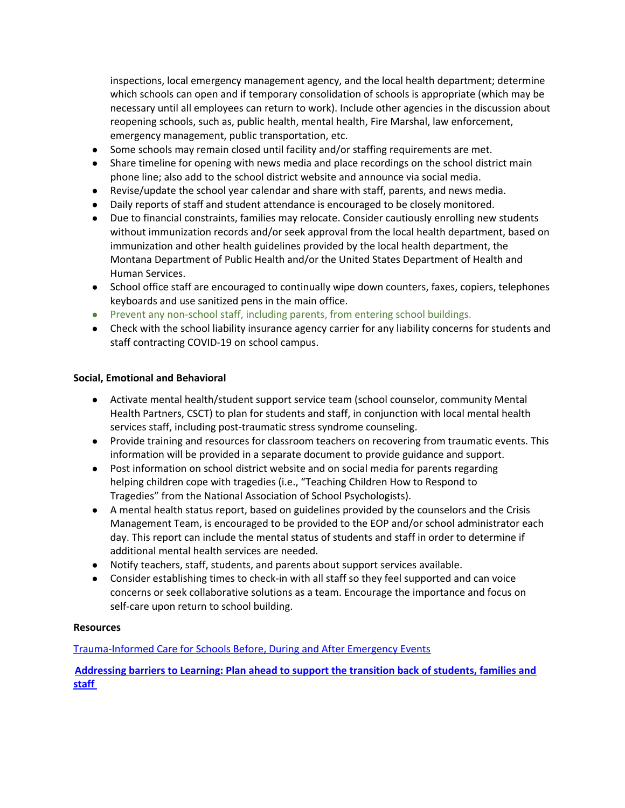inspections, local emergency management agency, and the local health department; determine which schools can open and if temporary consolidation of schools is appropriate (which may be necessary until all employees can return to work). Include other agencies in the discussion about reopening schools, such as, public health, mental health, Fire Marshal, law enforcement, emergency management, public transportation, etc.

- Some schools may remain closed until facility and/or staffing requirements are met.
- Share timeline for opening with news media and place recordings on the school district main phone line; also add to the school district website and announce via social media.
- Revise/update the school year calendar and share with staff, parents, and news media.
- Daily reports of staff and student attendance is encouraged to be closely monitored.
- Due to financial constraints, families may relocate. Consider cautiously enrolling new students without immunization records and/or seek approval from the local health department, based on immunization and other health guidelines provided by the local health department, the Montana Department of Public Health and/or the United States Department of Health and Human Services.
- School office staff are encouraged to continually wipe down counters, faxes, copiers, telephones keyboards and use sanitized pens in the main office.
- Prevent any non-school staff, including parents, from entering school buildings.
- Check with the school liability insurance agency carrier for any liability concerns for students and staff contracting COVID-19 on school campus.

### **Social, Emotional and Behavioral**

- Activate mental health/student support service team (school counselor, community Mental Health Partners, CSCT) to plan for students and staff, in conjunction with local mental health services staff, including post-traumatic stress syndrome counseling.
- Provide training and resources for classroom teachers on recovering from traumatic events. This information will be provided in a separate document to provide guidance and support.
- Post information on school district website and on social media for parents regarding helping children cope with tragedies (i.e., "Teaching Children How to Respond to Tragedies" from the National Association of School Psychologists).
- A mental health status report, based on guidelines provided by the counselors and the Crisis Management Team, is encouraged to be provided to the EOP and/or school administrator each day. This report can include the mental status of students and staff in order to determine if additional mental health services are needed.
- Notify teachers, staff, students, and parents about support services available.
- Consider establishing times to check-in with all staff so they feel supported and can voice concerns or seek collaborative solutions as a team. Encourage the importance and focus on self-care upon return to school building.

#### **Resources**

[Trauma-Informed](https://rems.ed.gov/docs/Trauma-Informed_Care_for_Schools_Presentation_508C.pdf) Care for Schools Before, During and After Emergency Events

**[Addressing](http://smhp.psych.ucla.edu/pdfdocs/newsletter/spring20.pdf) barriers to Learning: Plan ahead to support the transition back of students, families and [staff](http://smhp.psych.ucla.edu/pdfdocs/newsletter/spring20.pdf)**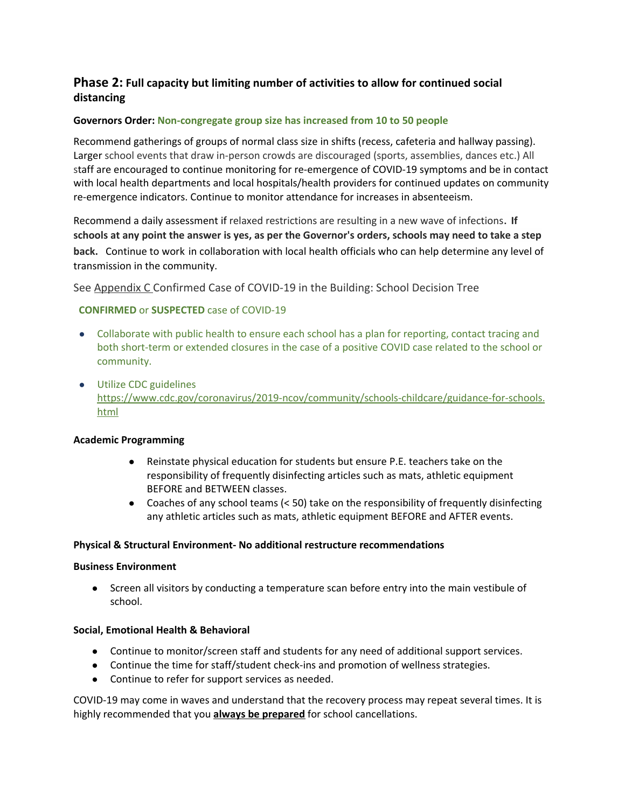# **Phase 2: Full capacity but limiting number of activities to allow for continued social distancing**

### **Governors Order: Non-congregate group size has increased from 10 to 50 people**

Recommend gatherings of groups of normal class size in shifts (recess, cafeteria and hallway passing). Larger school events that draw in-person crowds are discouraged (sports, assemblies, dances etc.) All staff are encouraged to continue monitoring for re-emergence of COVID-19 symptoms and be in contact with local health departments and local hospitals/health providers for continued updates on community re-emergence indicators. Continue to monitor attendance for increases in absenteeism.

Recommend a daily assessment if relaxed restrictions are resulting in a new wave of infections. **If** schools at any point the answer is yes, as per the Governor's orders, schools may need to take a step **back.** Continue to work in collaboration with local health officials who can help determine any level of transmission in the community.

See Appendix C Confirmed Case of COVID-19 in the Building: School Decision Tree

### **CONFIRMED** or **SUSPECTED** case of COVID-19

- Collaborate with public health to ensure each school has a plan for reporting, contact tracing and both short-term or extended closures in the case of a positive COVID case related to the school or community.
- Utilize CDC guidelines [https://www.cdc.gov/coronavirus/2019-ncov/community/schools-childcare/guidance-for-schools.](https://www.cdc.gov/coronavirus/2019-ncov/community/schools-childcare/guidance-for-schools.html) [html](https://www.cdc.gov/coronavirus/2019-ncov/community/schools-childcare/guidance-for-schools.html)

#### **Academic Programming**

- Reinstate physical education for students but ensure P.E. teachers take on the responsibility of frequently disinfecting articles such as mats, athletic equipment BEFORE and BETWEEN classes.
- Coaches of any school teams  $( $50$ ) take on the responsibility of frequently disinfecting$ any athletic articles such as mats, athletic equipment BEFORE and AFTER events.

#### **Physical & Structural Environment- No additional restructure recommendations**

#### **Business Environment**

**●** Screen all visitors by conducting a temperature scan before entry into the main vestibule of school.

#### **Social, Emotional Health & Behavioral**

- Continue to monitor/screen staff and students for any need of additional support services.
- Continue the time for staff/student check-ins and promotion of wellness strategies.
- Continue to refer for support services as needed.

COVID-19 may come in waves and understand that the recovery process may repeat several times. It is highly recommended that you **always be prepared** for school cancellations.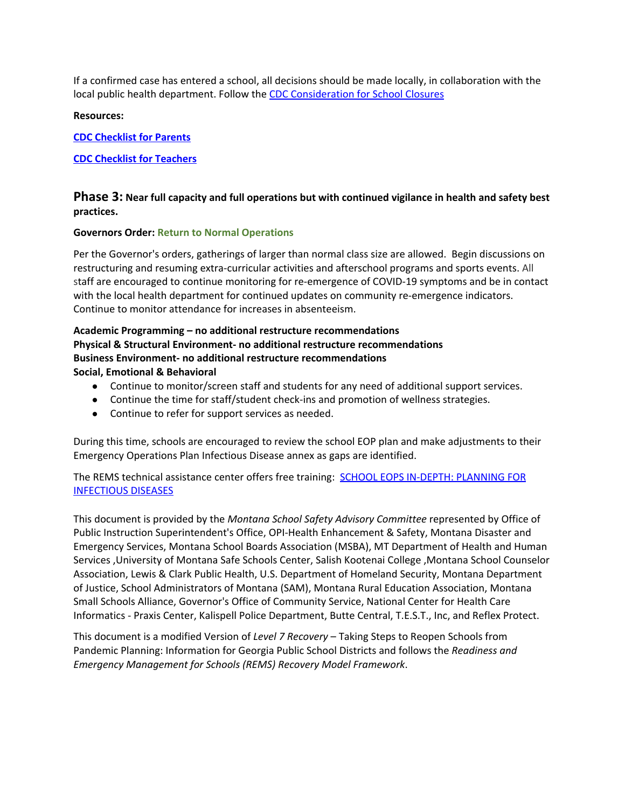If a confirmed case has entered a school, all decisions should be made locally, in collaboration with the local public health department. Follow the CDC [Consideration](https://www.cdc.gov/coronavirus/2019-ncov/downloads/considerations-for-school-closure.pdf) for School Closures

**Resources:**

**CDC [Checklist](https://www.cdc.gov/coronavirus/2019-ncov/downloads/schools-checklist-parents.pdf) for Parents**

#### **CDC Checklist for [Teachers](https://www.cdc.gov/coronavirus/2019-ncov/downloads/schools-checklist-teachers.pdf)**

### **Phase 3: Near full capacity and full operations but with continued vigilance in health and safety best practices.**

#### **Governors Order: Return to Normal Operations**

Per the Governor's orders, gatherings of larger than normal class size are allowed. Begin discussions on restructuring and resuming extra-curricular activities and afterschool programs and sports events. All staff are encouraged to continue monitoring for re-emergence of COVID-19 symptoms and be in contact with the local health department for continued updates on community re-emergence indicators. Continue to monitor attendance for increases in absenteeism.

#### **Academic Programming – no additional restructure recommendations Physical & Structural Environment- no additional restructure recommendations Business Environment- no additional restructure recommendations Social, Emotional & Behavioral**

- Continue to monitor/screen staff and students for any need of additional support services.
- Continue the time for staff/student check-ins and promotion of wellness strategies.
- Continue to refer for support services as needed.

During this time, schools are encouraged to review the school EOP plan and make adjustments to their Emergency Operations Plan Infectious Disease annex as gaps are identified.

The REMS technical assistance center offers free training: SCHOOL EOPS IN-DEPTH: [PLANNING](https://rems.ed.gov/trainings/CourseInfectious.aspx) FOR [INFECTIOUS](https://rems.ed.gov/trainings/CourseInfectious.aspx) DISEASES

This document is provided by the *Montana School Safety Advisory Committee* represented by Office of Public Instruction Superintendent's Office, OPI-Health Enhancement & Safety, Montana Disaster and Emergency Services, Montana School Boards Association (MSBA), MT Department of Health and Human Services ,University of Montana Safe Schools Center, Salish Kootenai College ,Montana School Counselor Association, Lewis & Clark Public Health, U.S. Department of Homeland Security, Montana Department of Justice, School Administrators of Montana (SAM), Montana Rural Education Association, Montana Small Schools Alliance, Governor's Office of Community Service, National Center for Health Care Informatics - Praxis Center, Kalispell Police Department, Butte Central, T.E.S.T., Inc, and Reflex Protect.

This document is a modified Version of *Level 7 Recovery* – Taking Steps to Reopen Schools from Pandemic Planning: Information for Georgia Public School Districts and follows the *Readiness and Emergency Management for Schools (REMS) Recovery Model Framework*.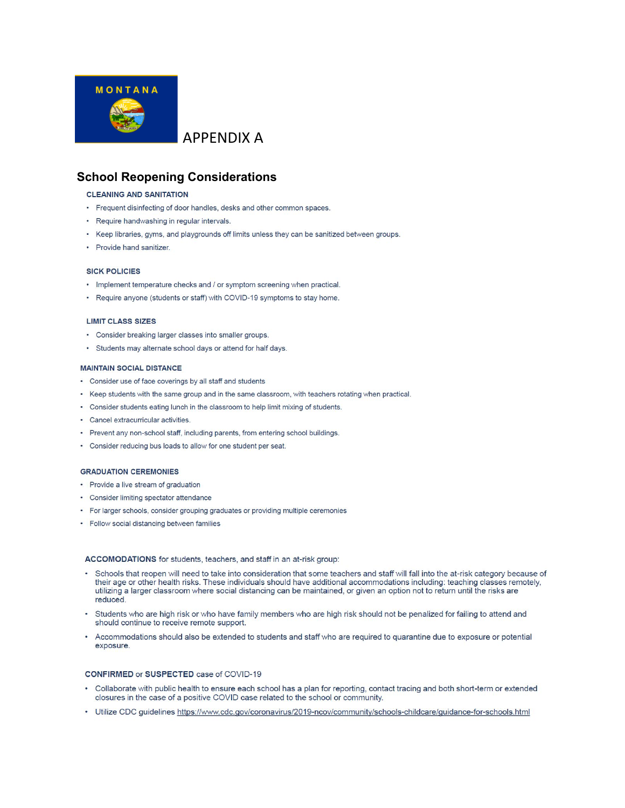

# APPENDIX A

## **School Reopening Considerations**

#### **CLEANING AND SANITATION**

- Frequent disinfecting of door handles, desks and other common spaces.
- Require handwashing in regular intervals.
- Keep libraries, gyms, and playgrounds off limits unless they can be sanitized between groups.
- Provide hand sanitizer.

#### **SICK POLICIES**

- Implement temperature checks and / or symptom screening when practical.
- Require anyone (students or staff) with COVID-19 symptoms to stay home.

#### **LIMIT CLASS SIZES**

- Consider breaking larger classes into smaller groups.
- · Students may alternate school days or attend for half days.

#### **MAINTAIN SOCIAL DISTANCE**

- Consider use of face coverings by all staff and students
- Keep students with the same group and in the same classroom, with teachers rotating when practical.
- Consider students eating lunch in the classroom to help limit mixing of students.
- Cancel extracurricular activities.
- Prevent any non-school staff, including parents, from entering school buildings.
- Consider reducing bus loads to allow for one student per seat.

#### **GRADUATION CEREMONIES**

- Provide a live stream of graduation
- Consider limiting spectator attendance
- For larger schools, consider grouping graduates or providing multiple ceremonies
- Follow social distancing between families

#### ACCOMODATIONS for students, teachers, and staff in an at-risk group:

- Schools that reopen will need to take into consideration that some teachers and staff will fall into the at-risk category because of their age or other health risks. These individuals should have additional accommodations including: teaching classes remotely, utilizing a larger classroom where social distancing can be maintained, or given an option not to return until the risks are reduced.
- Students who are high risk or who have family members who are high risk should not be penalized for failing to attend and should continue to receive remote support.
- Accommodations should also be extended to students and staff who are required to quarantine due to exposure or potential exposure.

#### CONFIRMED or SUSPECTED case of COVID-19

- Collaborate with public health to ensure each school has a plan for reporting, contact tracing and both short-term or extended closures in the case of a positive COVID case related to the school or community.
- Utilize CDC guidelines https://www.cdc.gov/coronavirus/2019-ncov/community/schools-childcare/guidance-for-schools.html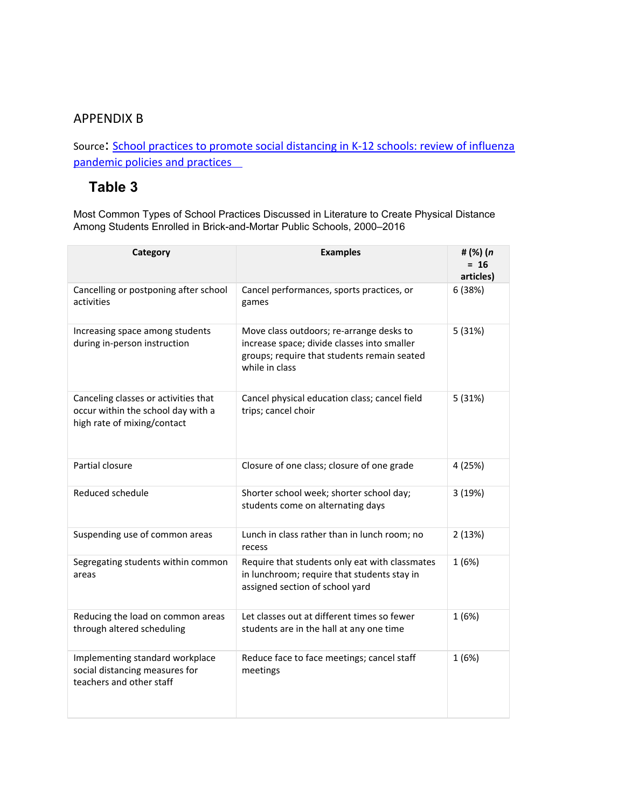# APPENDIX B

Source: [School practices to promote social distancing in K-12 schools: review of influenza](https://www.ncbi.nlm.nih.gov/pmc/articles/PMC5870081/) [pandemic policies and practices](https://www.ncbi.nlm.nih.gov/pmc/articles/PMC5870081/) 

# **Table 3**

Most Common Types of School Practices Discussed in Literature to Create Physical Distance Among Students Enrolled in Brick-and-Mortar Public Schools, 2000–2016

| Category                                                                                                  | <b>Examples</b>                                                                                                                                          | #(%)(n<br>$= 16$<br>articles) |
|-----------------------------------------------------------------------------------------------------------|----------------------------------------------------------------------------------------------------------------------------------------------------------|-------------------------------|
| Cancelling or postponing after school<br>activities                                                       | Cancel performances, sports practices, or<br>games                                                                                                       | 6 (38%)                       |
| Increasing space among students<br>during in-person instruction                                           | Move class outdoors; re-arrange desks to<br>increase space; divide classes into smaller<br>groups; require that students remain seated<br>while in class | 5(31%)                        |
| Canceling classes or activities that<br>occur within the school day with a<br>high rate of mixing/contact | Cancel physical education class; cancel field<br>trips; cancel choir                                                                                     | 5(31%)                        |
| Partial closure                                                                                           | Closure of one class; closure of one grade                                                                                                               | 4 (25%)                       |
| Reduced schedule                                                                                          | Shorter school week; shorter school day;<br>students come on alternating days                                                                            | 3 (19%)                       |
| Suspending use of common areas                                                                            | Lunch in class rather than in lunch room; no<br>recess                                                                                                   | 2(13%)                        |
| Segregating students within common<br>areas                                                               | Require that students only eat with classmates<br>in lunchroom; require that students stay in<br>assigned section of school yard                         | 1(6%)                         |
| Reducing the load on common areas<br>through altered scheduling                                           | Let classes out at different times so fewer<br>students are in the hall at any one time                                                                  | 1(6%)                         |
| Implementing standard workplace<br>social distancing measures for<br>teachers and other staff             | Reduce face to face meetings; cancel staff<br>meetings                                                                                                   | 1(6%)                         |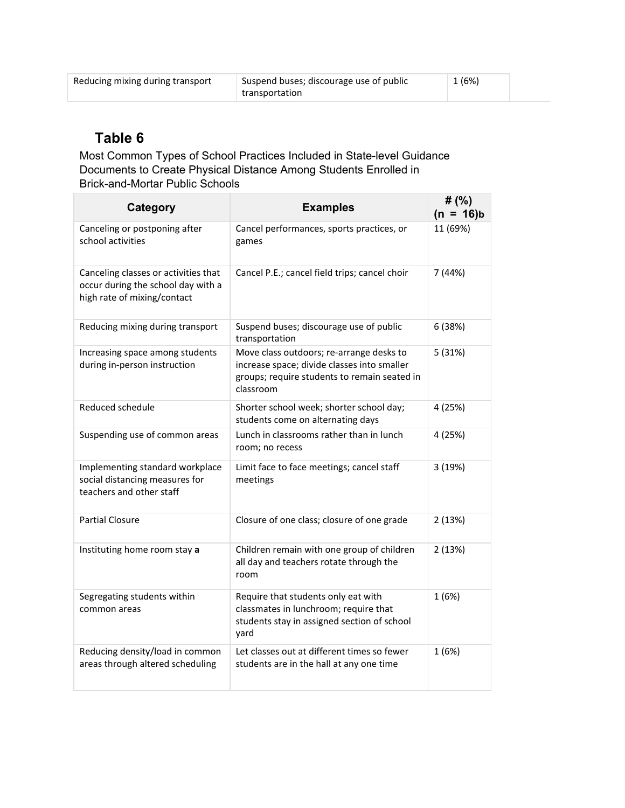| Reducing mixing during transport | Suspend buses; discourage use of public | 1 (6%) |  |
|----------------------------------|-----------------------------------------|--------|--|
|                                  | transportation                          |        |  |

# **Table 6**

Most Common Types of School Practices Included in State-level Guidance Documents to Create Physical Distance Among Students Enrolled in Brick-and-Mortar Public Schools

| <b>Category</b>                                                                                           | <b>Examples</b>                                                                                                                                      | # $(%)$<br>$(n = 16)b$ |
|-----------------------------------------------------------------------------------------------------------|------------------------------------------------------------------------------------------------------------------------------------------------------|------------------------|
| Canceling or postponing after<br>school activities                                                        | Cancel performances, sports practices, or<br>games                                                                                                   | 11 (69%)               |
| Canceling classes or activities that<br>occur during the school day with a<br>high rate of mixing/contact | Cancel P.E.; cancel field trips; cancel choir                                                                                                        | 7 (44%)                |
| Reducing mixing during transport                                                                          | Suspend buses; discourage use of public<br>transportation                                                                                            | 6 (38%)                |
| Increasing space among students<br>during in-person instruction                                           | Move class outdoors; re-arrange desks to<br>increase space; divide classes into smaller<br>groups; require students to remain seated in<br>classroom | 5(31%)                 |
| Reduced schedule                                                                                          | Shorter school week; shorter school day;<br>students come on alternating days                                                                        | 4 (25%)                |
| Suspending use of common areas                                                                            | Lunch in classrooms rather than in lunch<br>room; no recess                                                                                          | 4 (25%)                |
| Implementing standard workplace<br>social distancing measures for<br>teachers and other staff             | Limit face to face meetings; cancel staff<br>meetings                                                                                                | 3(19%)                 |
| <b>Partial Closure</b>                                                                                    | Closure of one class; closure of one grade                                                                                                           | 2(13%)                 |
| Instituting home room stay a                                                                              | Children remain with one group of children<br>all day and teachers rotate through the<br>room                                                        | 2(13%)                 |
| Segregating students within<br>common areas                                                               | Require that students only eat with<br>classmates in lunchroom; require that<br>students stay in assigned section of school<br>yard                  | 1(6%)                  |
| Reducing density/load in common<br>areas through altered scheduling                                       | Let classes out at different times so fewer<br>students are in the hall at any one time                                                              | 1(6%)                  |